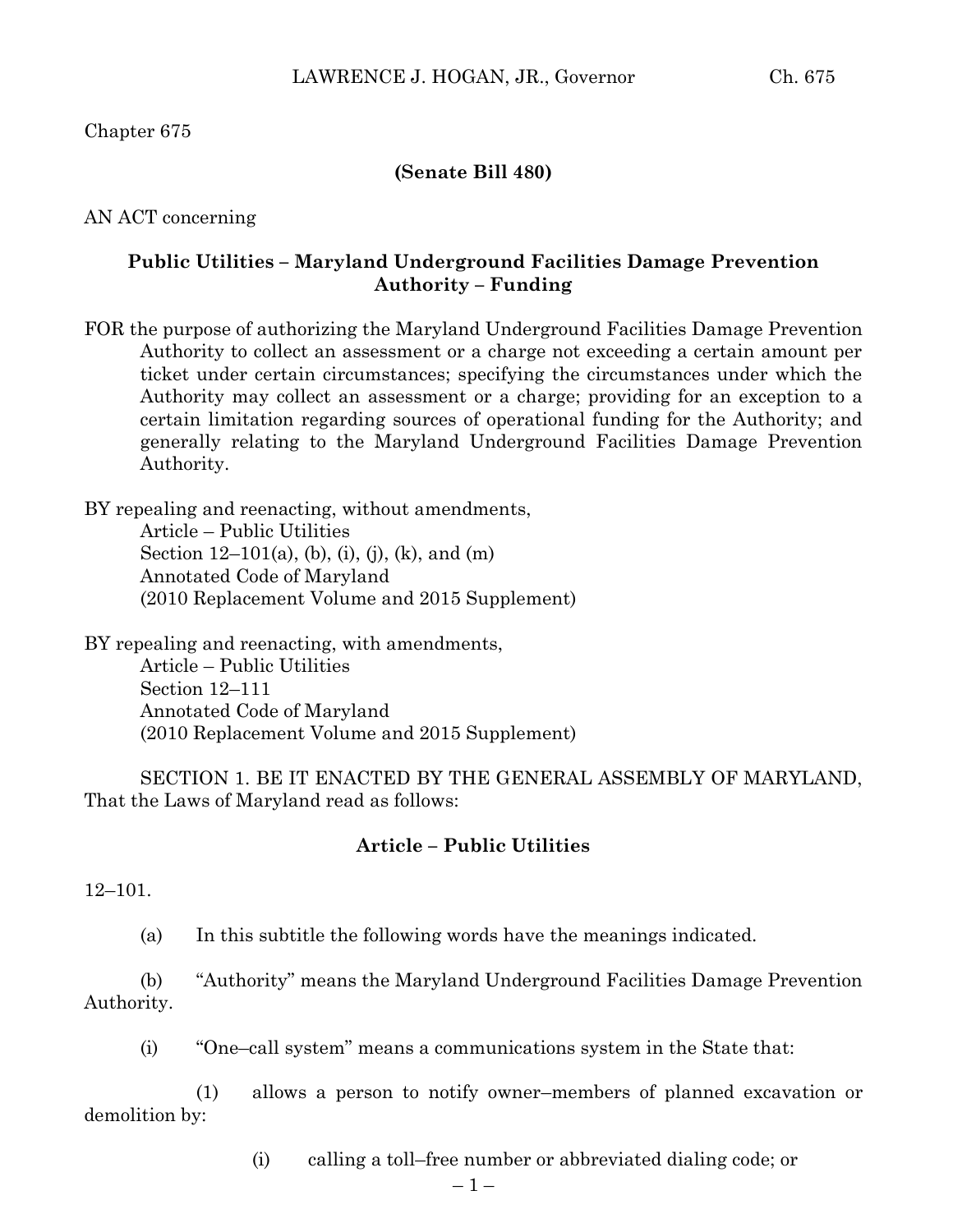Chapter 675

### **(Senate Bill 480)**

AN ACT concerning

## **Public Utilities – Maryland Underground Facilities Damage Prevention Authority – Funding**

FOR the purpose of authorizing the Maryland Underground Facilities Damage Prevention Authority to collect an assessment or a charge not exceeding a certain amount per ticket under certain circumstances; specifying the circumstances under which the Authority may collect an assessment or a charge; providing for an exception to a certain limitation regarding sources of operational funding for the Authority; and generally relating to the Maryland Underground Facilities Damage Prevention Authority.

BY repealing and reenacting, without amendments, Article – Public Utilities Section  $12-101(a)$ , (b), (i), (j), (k), and (m) Annotated Code of Maryland (2010 Replacement Volume and 2015 Supplement)

BY repealing and reenacting, with amendments, Article – Public Utilities Section 12–111 Annotated Code of Maryland (2010 Replacement Volume and 2015 Supplement)

SECTION 1. BE IT ENACTED BY THE GENERAL ASSEMBLY OF MARYLAND, That the Laws of Maryland read as follows:

#### **Article – Public Utilities**

12–101.

(a) In this subtitle the following words have the meanings indicated.

(b) "Authority" means the Maryland Underground Facilities Damage Prevention Authority.

(i) "One–call system" means a communications system in the State that:

(1) allows a person to notify owner–members of planned excavation or demolition by:

(i) calling a toll–free number or abbreviated dialing code; or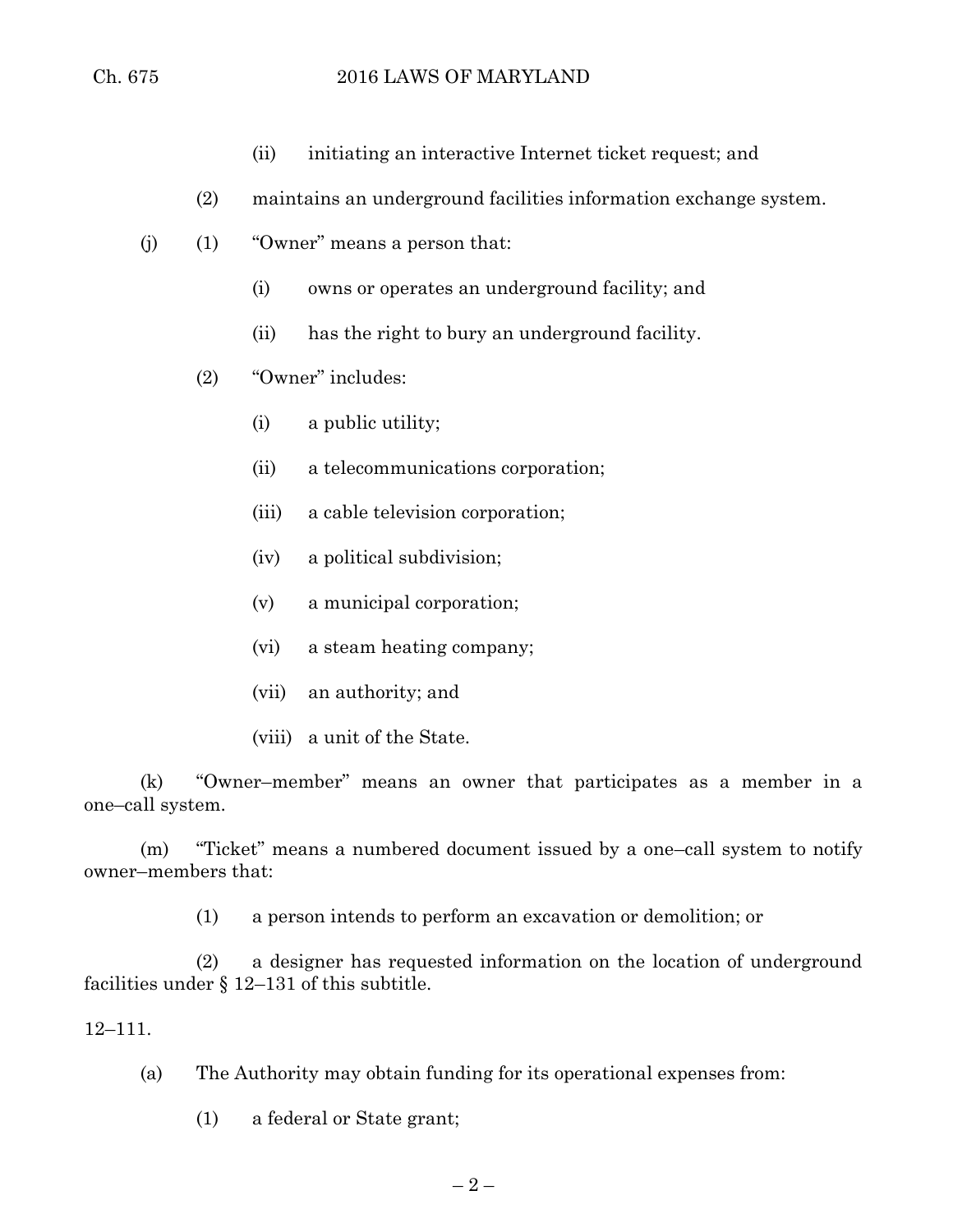- (ii) initiating an interactive Internet ticket request; and
- (2) maintains an underground facilities information exchange system.
- (j) (1) "Owner" means a person that:
	- (i) owns or operates an underground facility; and
	- (ii) has the right to bury an underground facility.
	- (2) "Owner" includes:
		- (i) a public utility;
		- (ii) a telecommunications corporation;
		- (iii) a cable television corporation;
		- (iv) a political subdivision;
		- (v) a municipal corporation;
		- (vi) a steam heating company;
		- (vii) an authority; and
		- (viii) a unit of the State.

(k) "Owner–member" means an owner that participates as a member in a one–call system.

(m) "Ticket" means a numbered document issued by a one–call system to notify owner–members that:

(1) a person intends to perform an excavation or demolition; or

(2) a designer has requested information on the location of underground facilities under § 12–131 of this subtitle.

#### 12–111.

(a) The Authority may obtain funding for its operational expenses from:

(1) a federal or State grant;